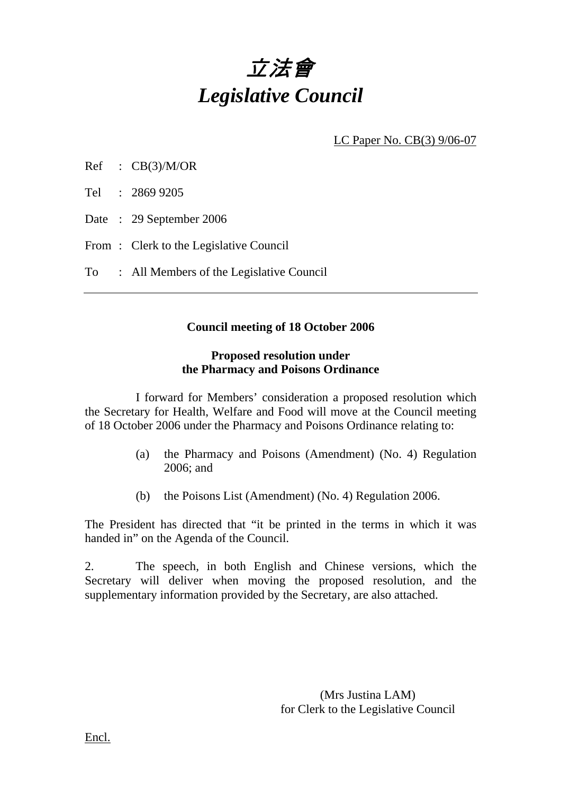# 立法會 *Legislative Council*

LC Paper No. CB(3) 9/06-07

| CB(3)/M/OR<br>Ref |
|-------------------|
|-------------------|

Tel : 2869 9205

Date : 29 September 2006

From: Clerk to the Legislative Council

To : All Members of the Legislative Council

#### **Council meeting of 18 October 2006**

#### **Proposed resolution under the Pharmacy and Poisons Ordinance**

 I forward for Members' consideration a proposed resolution which the Secretary for Health, Welfare and Food will move at the Council meeting of 18 October 2006 under the Pharmacy and Poisons Ordinance relating to:

- (a) the Pharmacy and Poisons (Amendment) (No. 4) Regulation 2006; and
- (b) the Poisons List (Amendment) (No. 4) Regulation 2006.

The President has directed that "it be printed in the terms in which it was handed in" on the Agenda of the Council.

2. The speech, in both English and Chinese versions, which the Secretary will deliver when moving the proposed resolution, and the supplementary information provided by the Secretary, are also attached.

> (Mrs Justina LAM) for Clerk to the Legislative Council

Encl.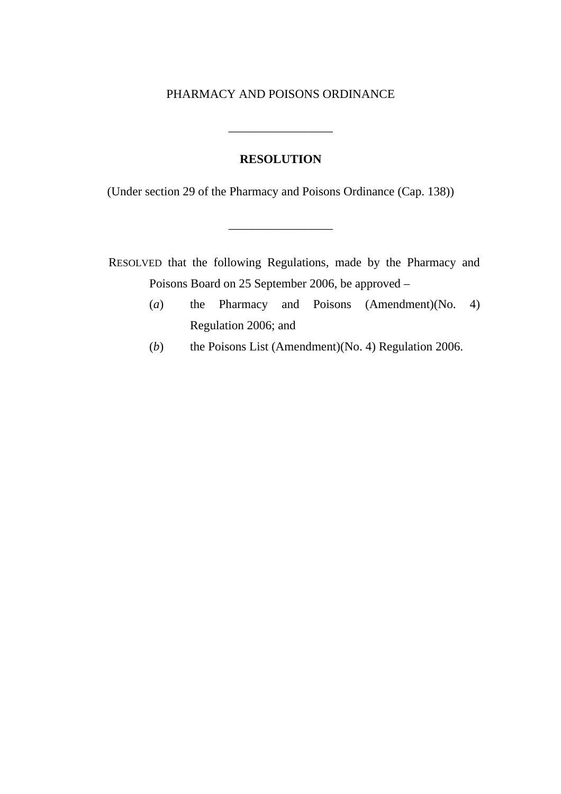#### PHARMACY AND POISONS ORDINANCE

#### **RESOLUTION**

\_\_\_\_\_\_\_\_\_\_\_\_\_\_\_\_\_

(Under section 29 of the Pharmacy and Poisons Ordinance (Cap. 138))

\_\_\_\_\_\_\_\_\_\_\_\_\_\_\_\_\_

RESOLVED that the following Regulations, made by the Pharmacy and Poisons Board on 25 September 2006, be approved –

- (*a*) the Pharmacy and Poisons (Amendment)(No. 4) Regulation 2006; and
- (*b*) the Poisons List (Amendment)(No. 4) Regulation 2006.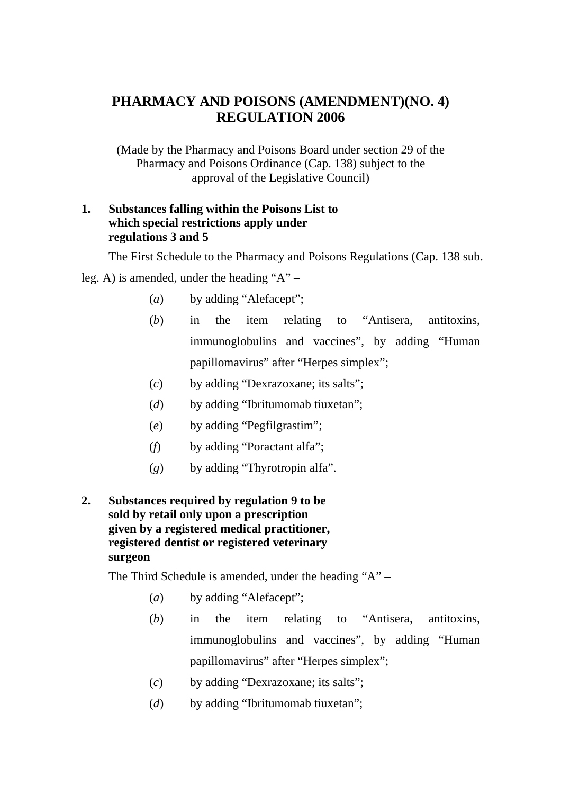## **PHARMACY AND POISONS (AMENDMENT)(NO. 4) REGULATION 2006**

(Made by the Pharmacy and Poisons Board under section 29 of the Pharmacy and Poisons Ordinance (Cap. 138) subject to the approval of the Legislative Council)

#### **1. Substances falling within the Poisons List to which special restrictions apply under regulations 3 and 5**

The First Schedule to the Pharmacy and Poisons Regulations (Cap. 138 sub.

leg. A) is amended, under the heading "A" –

- (*a*) by adding "Alefacept";
- (*b*) in the item relating to "Antisera, antitoxins, immunoglobulins and vaccines", by adding "Human papillomavirus" after "Herpes simplex";
- (*c*) by adding "Dexrazoxane; its salts";
- (*d*) by adding "Ibritumomab tiuxetan";
- (*e*) by adding "Pegfilgrastim";
- (*f*) by adding "Poractant alfa";
- (*g*) by adding "Thyrotropin alfa".

#### **2. Substances required by regulation 9 to be sold by retail only upon a prescription given by a registered medical practitioner, registered dentist or registered veterinary surgeon**

The Third Schedule is amended, under the heading "A" –

- (*a*) by adding "Alefacept";
- (*b*) in the item relating to "Antisera, antitoxins, immunoglobulins and vaccines", by adding "Human papillomavirus" after "Herpes simplex";
- (*c*) by adding "Dexrazoxane; its salts";
- (*d*) by adding "Ibritumomab tiuxetan";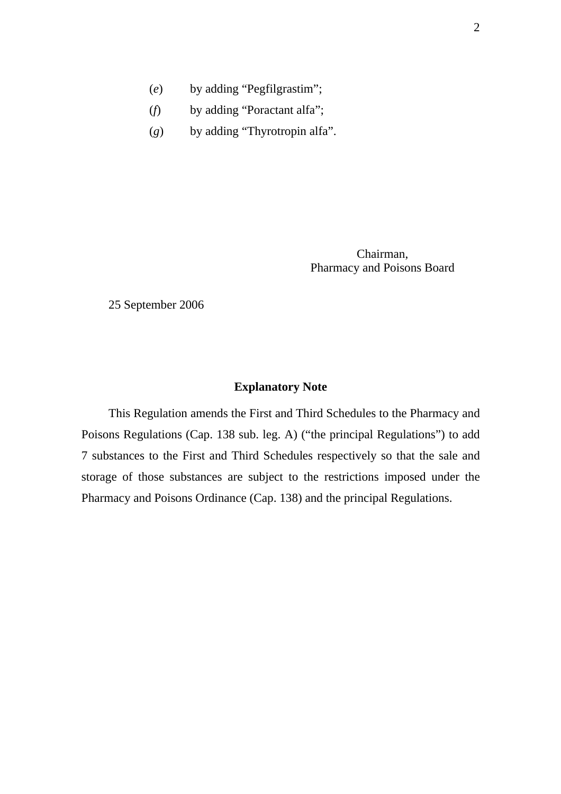- (*e*) by adding "Pegfilgrastim";
- (*f*) by adding "Poractant alfa";
- (*g*) by adding "Thyrotropin alfa".

Chairman, Pharmacy and Poisons Board

25 September 2006

#### **Explanatory Note**

This Regulation amends the First and Third Schedules to the Pharmacy and Poisons Regulations (Cap. 138 sub. leg. A) ("the principal Regulations") to add 7 substances to the First and Third Schedules respectively so that the sale and storage of those substances are subject to the restrictions imposed under the Pharmacy and Poisons Ordinance (Cap. 138) and the principal Regulations.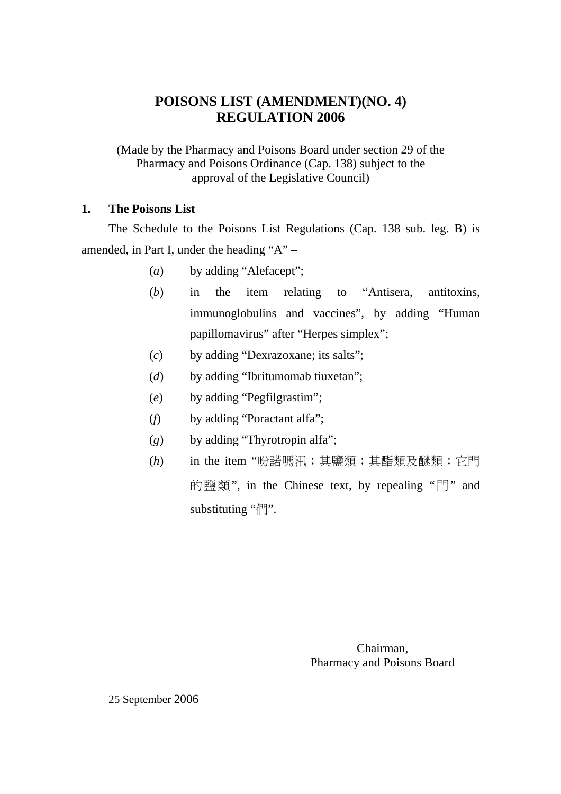## **POISONS LIST (AMENDMENT)(NO. 4) REGULATION 2006**

(Made by the Pharmacy and Poisons Board under section 29 of the Pharmacy and Poisons Ordinance (Cap. 138) subject to the approval of the Legislative Council)

#### **1. The Poisons List**

The Schedule to the Poisons List Regulations (Cap. 138 sub. leg. B) is amended, in Part I, under the heading "A" –

- (*a*) by adding "Alefacept";
- (*b*) in the item relating to "Antisera, antitoxins, immunoglobulins and vaccines", by adding "Human papillomavirus" after "Herpes simplex";
- (*c*) by adding "Dexrazoxane; its salts";
- (*d*) by adding "Ibritumomab tiuxetan";
- (*e*) by adding "Pegfilgrastim";
- (*f*) by adding "Poractant alfa";
- (*g*) by adding "Thyrotropin alfa";
- (*h*) in the item "吩諾嗎汛;其鹽類;其酯類及醚類;它門 的鹽類", in the Chinese text, by repealing "門" and substituting "們".

Chairman, Pharmacy and Poisons Board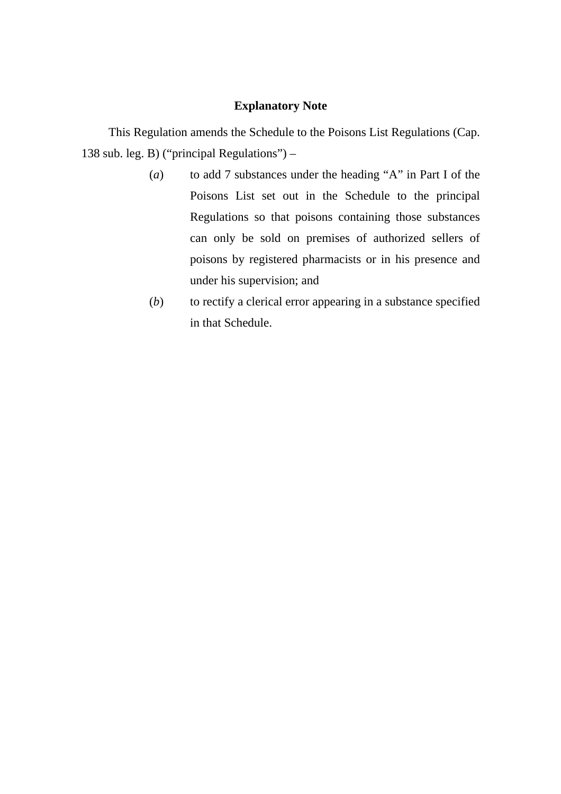#### **Explanatory Note**

This Regulation amends the Schedule to the Poisons List Regulations (Cap. 138 sub. leg. B) ("principal Regulations") –

- (*a*) to add 7 substances under the heading "A" in Part I of the Poisons List set out in the Schedule to the principal Regulations so that poisons containing those substances can only be sold on premises of authorized sellers of poisons by registered pharmacists or in his presence and under his supervision; and
- (*b*) to rectify a clerical error appearing in a substance specified in that Schedule.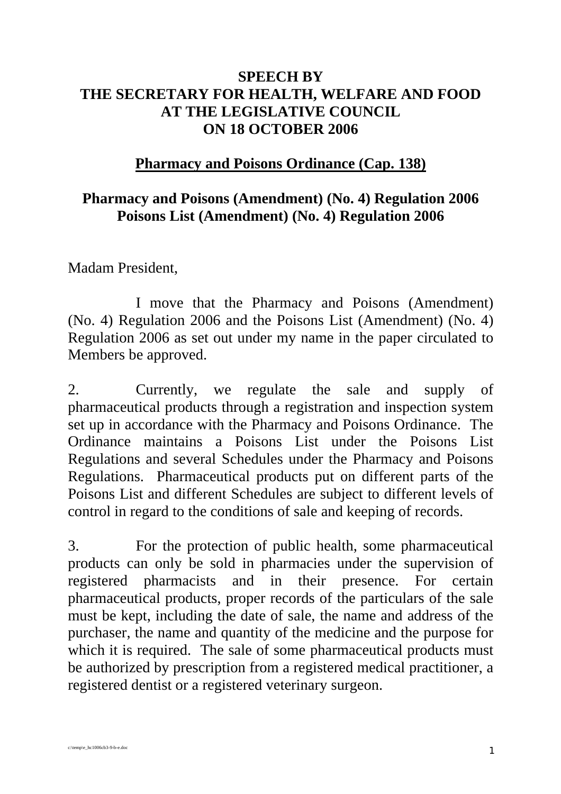## **SPEECH BY THE SECRETARY FOR HEALTH, WELFARE AND FOOD AT THE LEGISLATIVE COUNCIL ON 18 OCTOBER 2006**

## **Pharmacy and Poisons Ordinance (Cap. 138)**

## **Pharmacy and Poisons (Amendment) (No. 4) Regulation 2006 Poisons List (Amendment) (No. 4) Regulation 2006**

Madam President,

 I move that the Pharmacy and Poisons (Amendment) (No. 4) Regulation 2006 and the Poisons List (Amendment) (No. 4) Regulation 2006 as set out under my name in the paper circulated to Members be approved.

2. Currently, we regulate the sale and supply of pharmaceutical products through a registration and inspection system set up in accordance with the Pharmacy and Poisons Ordinance. The Ordinance maintains a Poisons List under the Poisons List Regulations and several Schedules under the Pharmacy and Poisons Regulations. Pharmaceutical products put on different parts of the Poisons List and different Schedules are subject to different levels of control in regard to the conditions of sale and keeping of records.

3. For the protection of public health, some pharmaceutical products can only be sold in pharmacies under the supervision of registered pharmacists and in their presence. For certain pharmaceutical products, proper records of the particulars of the sale must be kept, including the date of sale, the name and address of the purchaser, the name and quantity of the medicine and the purpose for which it is required. The sale of some pharmaceutical products must be authorized by prescription from a registered medical practitioner, a registered dentist or a registered veterinary surgeon.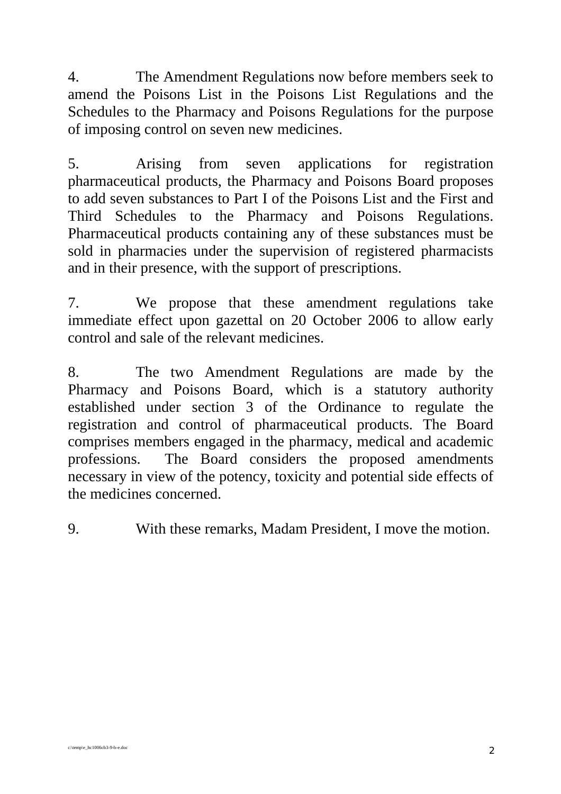4. The Amendment Regulations now before members seek to amend the Poisons List in the Poisons List Regulations and the Schedules to the Pharmacy and Poisons Regulations for the purpose of imposing control on seven new medicines.

5. Arising from seven applications for registration pharmaceutical products, the Pharmacy and Poisons Board proposes to add seven substances to Part I of the Poisons List and the First and Third Schedules to the Pharmacy and Poisons Regulations. Pharmaceutical products containing any of these substances must be sold in pharmacies under the supervision of registered pharmacists and in their presence, with the support of prescriptions.

7. We propose that these amendment regulations take immediate effect upon gazettal on 20 October 2006 to allow early control and sale of the relevant medicines.

8. The two Amendment Regulations are made by the Pharmacy and Poisons Board, which is a statutory authority established under section 3 of the Ordinance to regulate the registration and control of pharmaceutical products. The Board comprises members engaged in the pharmacy, medical and academic professions. The Board considers the proposed amendments necessary in view of the potency, toxicity and potential side effects of the medicines concerned.

9. With these remarks, Madam President, I move the motion.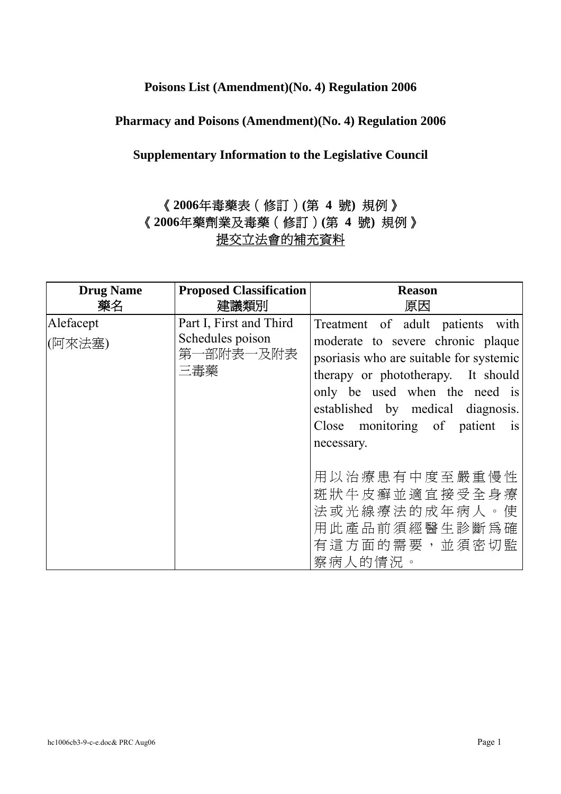#### **Poisons List (Amendment)(No. 4) Regulation 2006**

#### **Pharmacy and Poisons (Amendment)(No. 4) Regulation 2006**

#### **Supplementary Information to the Legislative Council**

## 《**2006**年毒藥表(修訂)**(**第 **4** 號**)** 規例》 《**2006**年藥劑業及毒藥(修訂)**(**第 **4** 號**)** 規例》 提交立法會的補充資料

| <b>Drug Name</b><br>藥名                                       | <b>Proposed Classification</b><br>建議類別 | <b>Reason</b><br>原因                                                                                                                                                                                                                                                          |
|--------------------------------------------------------------|----------------------------------------|------------------------------------------------------------------------------------------------------------------------------------------------------------------------------------------------------------------------------------------------------------------------------|
| Alefacept<br>Schedules poison<br> (阿來法塞)<br>第一部附表一及附表<br>三毒藥 | Part I, First and Third                | Treatment of adult patients with<br>moderate to severe chronic plaque<br>psoriasis who are suitable for systemic<br>therapy or phototherapy. It should<br>only be used when the need is<br>established by medical diagnosis.<br>Close monitoring of patient is<br>necessary. |
|                                                              |                                        | 用以治療患有中度至嚴重慢性<br>斑狀牛皮癬並適宜接受全身療<br>法或光線療法的成年病人。使<br>用此產品前須經醫生診斷爲確<br>有這方面的需要,並須密切監<br>察病人的情況。                                                                                                                                                                                 |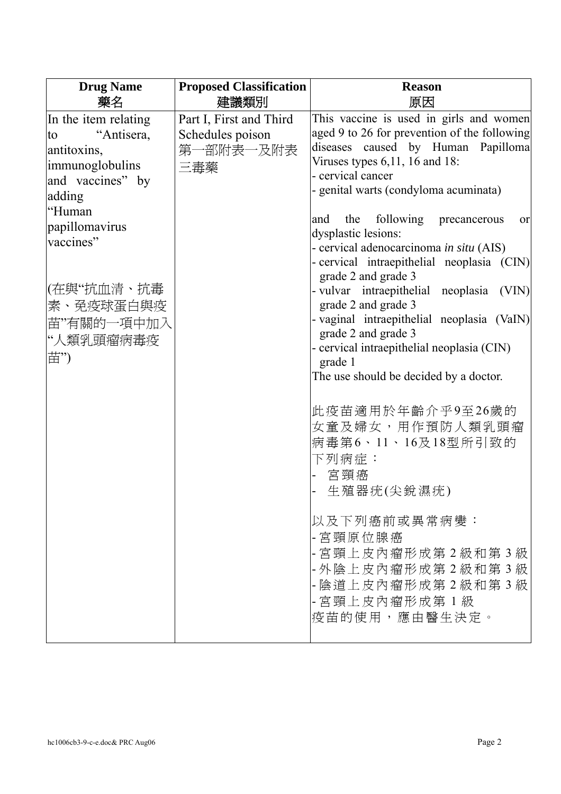| <b>Drug Name</b><br>藥名                                                                                   | <b>Proposed Classification</b><br>建議類別                          | <b>Reason</b><br>原因                                                                                                                                                                                                                |
|----------------------------------------------------------------------------------------------------------|-----------------------------------------------------------------|------------------------------------------------------------------------------------------------------------------------------------------------------------------------------------------------------------------------------------|
| In the item relating<br>"Antisera,<br>to<br>antitoxins,<br>immunoglobulins<br>and vaccines" by<br>adding | Part I, First and Third<br>Schedules poison<br>第一部附表一及附表<br>三毒藥 | This vaccine is used in girls and women<br>aged 9 to 26 for prevention of the following<br>diseases caused by Human Papilloma<br>Viruses types $6,11, 16$ and $18$ :<br>- cervical cancer<br>- genital warts (condyloma acuminata) |
| "Human<br>papillomavirus<br>vaccines"                                                                    |                                                                 | the following precancerous<br>and<br>or<br>dysplastic lesions:<br>- cervical adenocarcinoma in situ (AIS)<br>- cervical intraepithelial neoplasia (CIN)<br>grade 2 and grade 3                                                     |
| (在與"抗血清、抗毒<br>素、免疫球蛋白與疫<br>苗"有關的一項中加入<br>"人類乳頭瘤病毒疫<br>苗")                                                |                                                                 | - vulvar intraepithelial neoplasia<br>(VIN)<br>grade 2 and grade 3<br>- vaginal intraepithelial neoplasia (VaIN)<br>grade 2 and grade 3<br>- cervical intraepithelial neoplasia (CIN)<br>grade 1                                   |
|                                                                                                          |                                                                 | The use should be decided by a doctor.<br>此疫苗適用於年齡介乎9至26歲的<br>女童及婦女,用作預防人類乳頭瘤<br>病毒第6、11、16及18型所引致的<br>下列病症:<br>宮頸癌<br>生殖器疣(尖銳濕疣)                                                                                                  |
|                                                                                                          |                                                                 | 以及下列癌前或異常病變:<br>- 宮頸原位腺癌<br>- 宮頸上皮內瘤形成第2級和第3級<br>- 外陰上皮內瘤形成第2級和第3級<br>- 陰道上皮內瘤形成第2級和第3級<br>- 宮頸上皮內瘤形成第1級<br>疫苗的使用,應由醫生決定。                                                                                                          |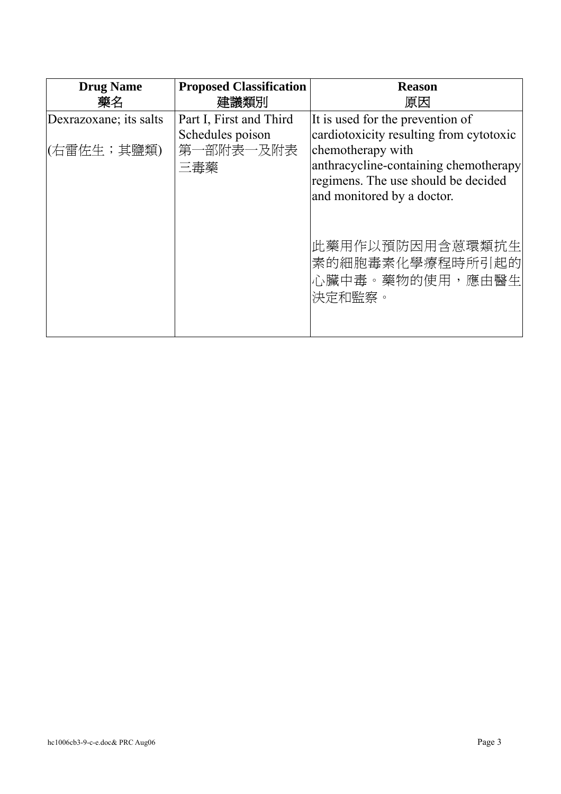| <b>Drug Name</b><br>藥名 | <b>Proposed Classification</b><br>建議類別      | <b>Reason</b><br>原因                                                                                                             |
|------------------------|---------------------------------------------|---------------------------------------------------------------------------------------------------------------------------------|
| Dexrazoxane; its salts | Part I, First and Third<br>Schedules poison | It is used for the prevention of<br>cardiotoxicity resulting from cytotoxic                                                     |
| (右雷佐生;其鹽類)             | 第一部附表一及附表<br>三毒藥                            | chemotherapy with<br>anthracycline-containing chemotherapy<br>regimens. The use should be decided<br>and monitored by a doctor. |
|                        |                                             | 此藥用作以預防因用含蒽環類抗生 <br> 素的細胞毒素化學療程時所引起的 <br>心臟中毒。藥物的使用,應由醫生<br>決定和監察。                                                              |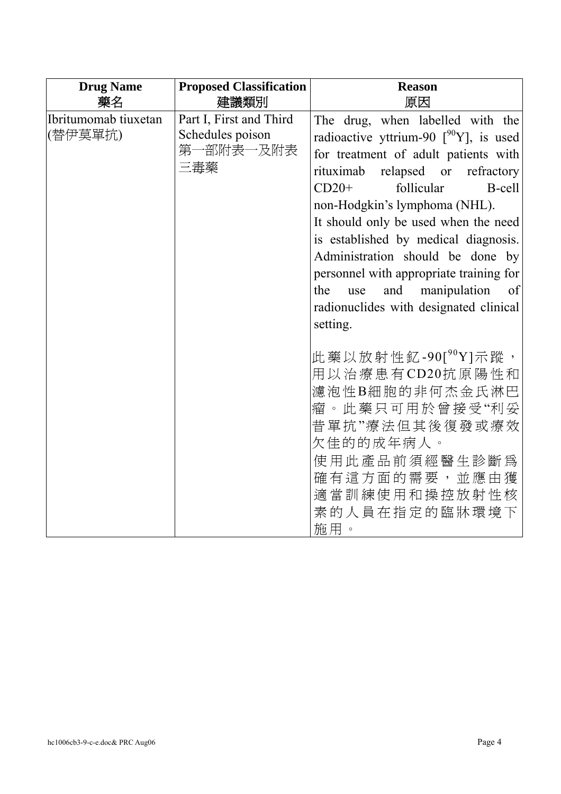| <b>Drug Name</b><br>藥名                                                                             | <b>Proposed Classification</b><br>建議類別                                                                                                                                                                                                                                                                                                                                                                                                                                                                 | <b>Reason</b><br>原因                                                                                                                                                                                 |
|----------------------------------------------------------------------------------------------------|--------------------------------------------------------------------------------------------------------------------------------------------------------------------------------------------------------------------------------------------------------------------------------------------------------------------------------------------------------------------------------------------------------------------------------------------------------------------------------------------------------|-----------------------------------------------------------------------------------------------------------------------------------------------------------------------------------------------------|
| Ibritumomab tiuxetan<br>Part I, First and Third<br>(替伊莫單抗)<br>Schedules poison<br>第一部附表一及附表<br>三毒藥 | The drug, when labelled with the<br>radioactive yttrium-90 $\int^{90} Y$ ], is used<br>for treatment of adult patients with<br>relapsed or refractory<br>rituximab<br>$CD20+$<br>follicular<br>B-cell<br>non-Hodgkin's lymphoma (NHL).<br>It should only be used when the need<br>is established by medical diagnosis.<br>Administration should be done by<br>personnel with appropriate training for<br>manipulation<br>and<br>the<br>of<br>use<br>radionuclides with designated clinical<br>setting. |                                                                                                                                                                                                     |
|                                                                                                    |                                                                                                                                                                                                                                                                                                                                                                                                                                                                                                        | 此 藥 以 放 射 性 釔 -90[ $^{90}$ Y]示 蹤 ,<br>用以治療患有CD20抗原陽性和<br>濾泡性B細胞的非何杰金氏淋巴<br>瘤。此藥只可用於曾接受"利妥<br>昔單抗"療法但其後復發或療效<br>欠佳的的成年病人。<br>使用此產品前須經醫生診斷為<br>確有這方面的需要,並應由獲<br>適當訓練使用和操控放射性核<br>素的人員在指定的臨牀環境下<br>施用。 |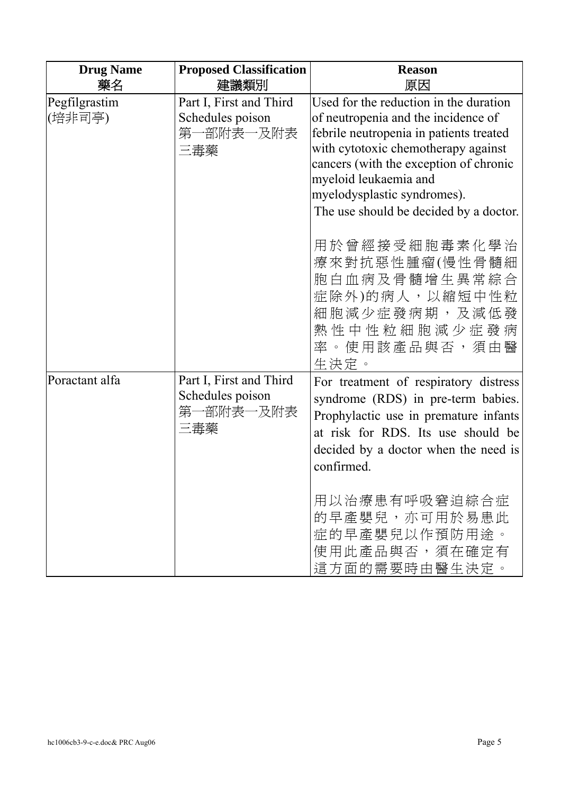| <b>Drug Name</b><br>藥名  | <b>Proposed Classification</b><br>建議類別                          | <b>Reason</b><br>原因                                                                                                                                                                                                                                                                                         |
|-------------------------|-----------------------------------------------------------------|-------------------------------------------------------------------------------------------------------------------------------------------------------------------------------------------------------------------------------------------------------------------------------------------------------------|
| Pegfilgrastim<br>(培非司亭) | Part I, First and Third<br>Schedules poison<br>第一部附表一及附表<br>三毒藥 | Used for the reduction in the duration<br>of neutropenia and the incidence of<br>febrile neutropenia in patients treated<br>with cytotoxic chemotherapy against<br>cancers (with the exception of chronic<br>myeloid leukaemia and<br>myelodysplastic syndromes).<br>The use should be decided by a doctor. |
|                         |                                                                 | 用於曾經接受細胞毒素化學治<br>療來對抗惡性腫瘤(慢性骨髓細<br>胞白血病及骨髓增生異常綜合<br>症除外)的病人,以縮短中性粒<br>細胞減少症發病期,及減低發<br>熱性中性粒細胞減少症發病<br>率。使用該產品與否,須由醫<br>生決定。                                                                                                                                                                                |
| Poractant alfa          | Part I, First and Third<br>Schedules poison<br>第一部附表一及附表<br>三毒藥 | For treatment of respiratory distress<br>syndrome (RDS) in pre-term babies.<br>Prophylactic use in premature infants<br>at risk for RDS. Its use should be<br>decided by a doctor when the need is<br>confirmed.<br>用以治療患有呼吸窘迫綜合症<br>的早產嬰兒,亦可用於易患此<br>症的早產嬰兒以作預防用涂。<br>使用此產品與否,須在確定有<br>這方面的需要時由醫生決定。       |